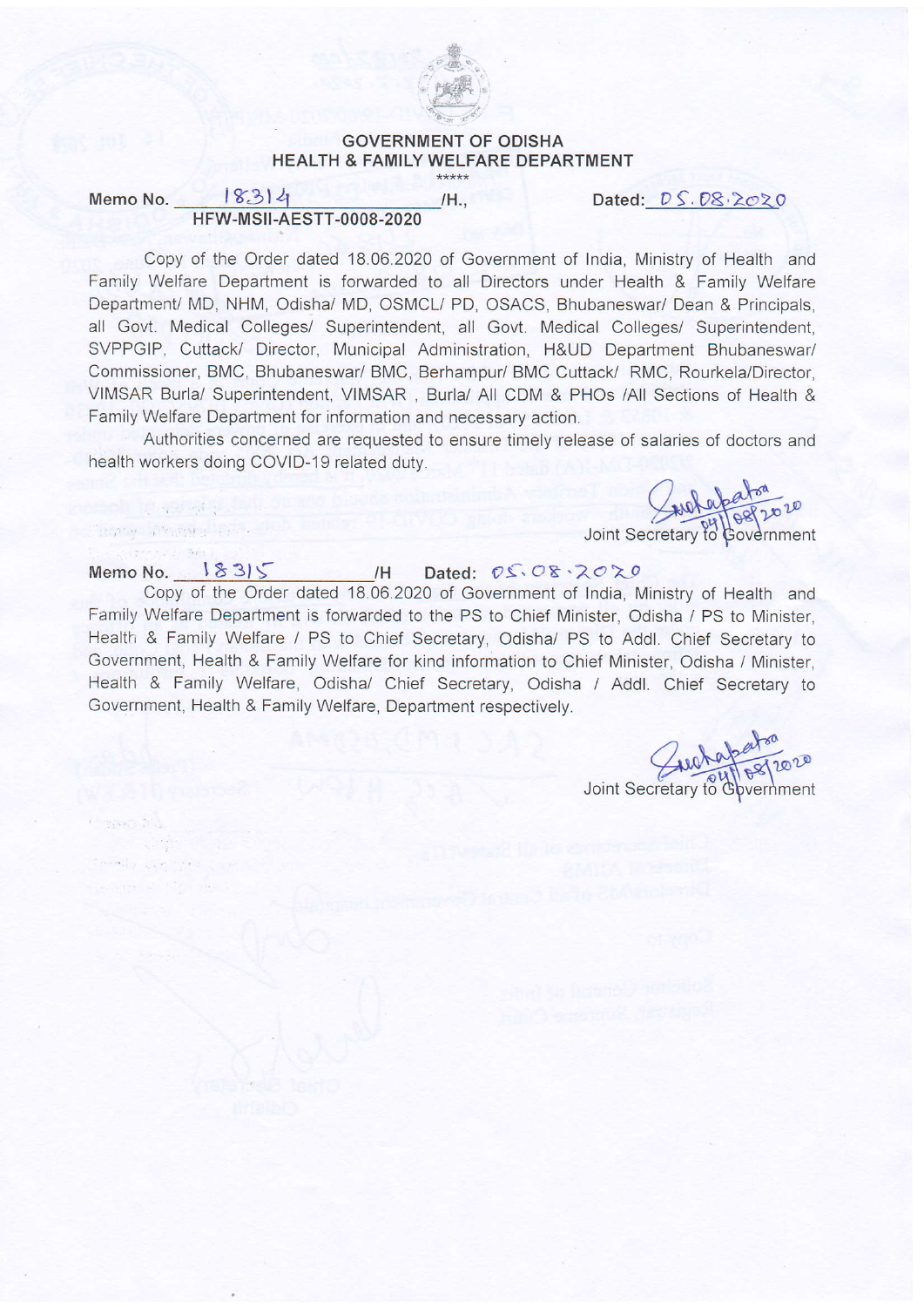

## GOVERNMENT OF ODISHA HEALTH & FAMILY WELFARE DEPARTMENT

Memo No.  $|83|4$  /H., Dated:  $DS.B8.2020$ H FW-MSII-AESTT.OOOS-2020

Copy of the Order dated 18.06.2020 of Government of India, Ministry of Health and Family Welfare Department is forwarded to all Directors under Health & Family Welfare Department/ MD, NHM, Odisha/ MD, OSMCL/ PD, OSACS, Bhubaneswar/ Dean & Principals, all Govt. Medical Colleges/ Superintendent, all Govt. Medjcal Colleges/ Superintendent, SVPPGIP, Cuttack/ Director, Municipal Administration, H&UD Department Bhubaneswar/ Commissioner, BMC, Bhubaneswar/ BMC, Berhampur/ BMC Cuttack/ RMC, Rourkela/Director, VIMSAR Burla/ Superintendent, VIMSAR, Burla/ All CDM & PHOs /All Sections of Health & Family Welfare Department for information and necessary action.

Authorities concerned are requested to ensure timelv release of salaries of doctors and health workers doing COVID-19 related duty.

 $\sqrt{2}$ 

rnment

**College Street** 

## Memo No.  $18315$  H Dated:  $05.08.2020$

Copy of the Order dated 18.06.2020 of Government of India, Ministry of Health and Family Welfare Department is forwarded to the PS to Chief Minister, Odisha / PS to Minister, Health & Family Welfare / PS to Chief Secretary, Odisha/ PS to Addl. Chief Secretary to Government, Health & Family Welfare for kind information to Chief Minister, Odisha / Minister, Health & Family Welfare, Odisha/ Chief Secretary, Odisha / Addl. Chief Secretary to Government, Health & Family Welfare, Department respectively.

p'tP Joint Secretary to Government